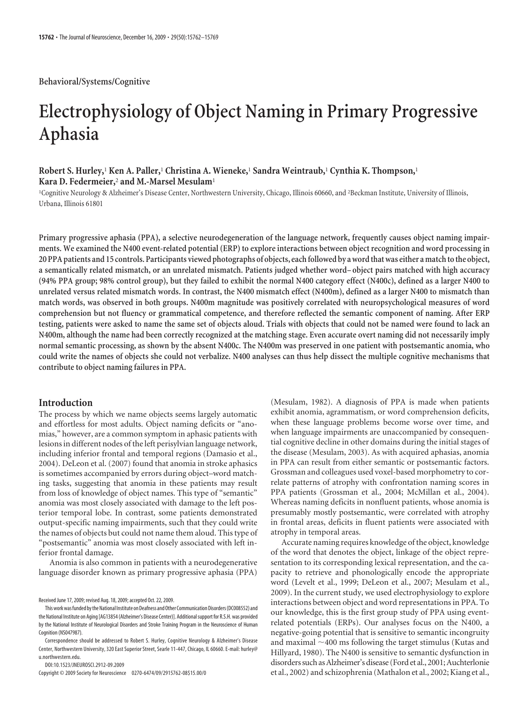### **Behavioral/Systems/Cognitive**

# **Electrophysiology of Object Naming in Primary Progressive Aphasia**

# **Robert S. Hurley,**<sup>1</sup> **Ken A. Paller,**<sup>1</sup> **Christina A. Wieneke,**<sup>1</sup> **Sandra Weintraub,**<sup>1</sup> **Cynthia K. Thompson,**<sup>1</sup> **Kara D. Federmeier,**<sup>2</sup> **and M.-Marsel Mesulam**<sup>1</sup>

1 Cognitive Neurology & Alzheimer's Disease Center, Northwestern University, Chicago, Illinois 60660, and <sup>2</sup> Beckman Institute, University of Illinois, Urbana, Illinois 61801

**Primary progressive aphasia (PPA), a selective neurodegeneration of the language network, frequently causes object naming impairments. We examined the N400 event-related potential (ERP) to explore interactions between object recognition and word processing in 20 PPA patients and 15 controls. Participants viewed photographs of objects, eachfollowed by a wordthat was either a matchtothe object, a semantically related mismatch, or an unrelated mismatch. Patients judged whether word– object pairs matched with high accuracy (94% PPA group; 98% control group), but they failed to exhibit the normal N400 category effect (N400c), defined as a larger N400 to unrelated versus related mismatch words. In contrast, the N400 mismatch effect (N400m), defined as a larger N400 to mismatch than match words, was observed in both groups. N400m magnitude was positively correlated with neuropsychological measures of word comprehension but not fluency or grammatical competence, and therefore reflected the semantic component of naming. After ERP testing, patients were asked to name the same set of objects aloud. Trials with objects that could not be named were found to lack an N400m, although the name had been correctly recognized at the matching stage. Even accurate overt naming did not necessarily imply normal semantic processing, as shown by the absent N400c. The N400m was preserved in one patient with postsemantic anomia, who could write the names of objects she could not verbalize. N400 analyses can thus help dissect the multiple cognitive mechanisms that contribute to object naming failures in PPA.**

# **Introduction**

The process by which we name objects seems largely automatic and effortless for most adults. Object naming deficits or "anomias," however, are a common symptom in aphasic patients with lesions in different nodes of the left perisylvian language network, including inferior frontal and temporal regions (Damasio et al., 2004). DeLeon et al. (2007) found that anomia in stroke aphasics is sometimes accompanied by errors during object–word matching tasks, suggesting that anomia in these patients may result from loss of knowledge of object names. This type of "semantic" anomia was most closely associated with damage to the left posterior temporal lobe. In contrast, some patients demonstrated output-specific naming impairments, such that they could write the names of objects but could not name them aloud. This type of "postsemantic" anomia was most closely associated with left inferior frontal damage.

Anomia is also common in patients with a neurodegenerative language disorder known as primary progressive aphasia (PPA)

Correspondence should be addressed to Robert S. Hurley, Cognitive Neurology & Alzheimer's Disease Center, Northwestern University, 320 East Superior Street, Searle 11-447, Chicago, IL 60660. E-mail: hurley@ u.northwestern.edu.

DOI:10.1523/JNEUROSCI.2912-09.2009

Copyright © 2009 Society for Neuroscience 0270-6474/09/2915762-08\$15.00/0

(Mesulam, 1982). A diagnosis of PPA is made when patients exhibit anomia, agrammatism, or word comprehension deficits, when these language problems become worse over time, and when language impairments are unaccompanied by consequential cognitive decline in other domains during the initial stages of the disease (Mesulam, 2003). As with acquired aphasias, anomia in PPA can result from either semantic or postsemantic factors. Grossman and colleagues used voxel-based morphometry to correlate patterns of atrophy with confrontation naming scores in PPA patients (Grossman et al., 2004; McMillan et al., 2004). Whereas naming deficits in nonfluent patients, whose anomia is presumably mostly postsemantic, were correlated with atrophy in frontal areas, deficits in fluent patients were associated with atrophy in temporal areas.

Accurate naming requires knowledge of the object, knowledge of the word that denotes the object, linkage of the object representation to its corresponding lexical representation, and the capacity to retrieve and phonologically encode the appropriate word (Levelt et al., 1999; DeLeon et al., 2007; Mesulam et al., 2009). In the current study, we used electrophysiology to explore interactions between object and word representations in PPA. To our knowledge, this is the first group study of PPA using eventrelated potentials (ERPs). Our analyses focus on the N400, a negative-going potential that is sensitive to semantic incongruity and maximal  $\sim$ 400 ms following the target stimulus (Kutas and Hillyard, 1980). The N400 is sensitive to semantic dysfunction in disorders such as Alzheimer's disease (Ford et al., 2001; Auchterlonie et al., 2002) and schizophrenia (Mathalon et al., 2002; Kiang et al.,

Received June 17, 2009; revised Aug. 18, 2009; accepted Oct. 22, 2009.

This work was funded by the National Institute on Deafness and Other Communication Disorders (DC008552) and the National Institute on Aging [AG13854 (Alzheimer's Disease Center)]. Additionalsupport for R.S.H. was provided by the National Institute of Neurological Disorders and Stroke Training Program in the Neuroscience of Human Cognition (NS047987).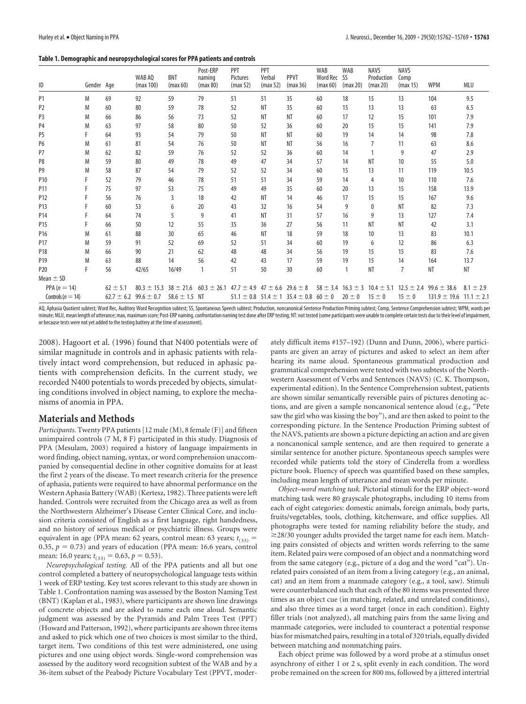### **Table 1. Demographic and neuropsychological scores for PPA patients and controls**

| ID                    | Gender Age |              | WAB AO<br>(max 100)           | <b>BNT</b><br>(max 60) | Post-ERP<br>naming<br>(max 80) | PPT<br>Pictures<br>(max 52) | PPT<br>Verbal<br>(max 52) | <b>PPVT</b><br>(max 36)                               | WAB<br>Word Rec SS<br>(max 60) | WAB<br>(max 20)           | <b>NAVS</b><br>Production<br>(max 20) | <b>NAVS</b><br>Comp<br>(max 15) | <b>WPM</b>                      | MLU           |
|-----------------------|------------|--------------|-------------------------------|------------------------|--------------------------------|-----------------------------|---------------------------|-------------------------------------------------------|--------------------------------|---------------------------|---------------------------------------|---------------------------------|---------------------------------|---------------|
| P <sub>1</sub>        | M          | 69           | 92                            | 59                     | 79                             | 51                          | 51                        | 35                                                    | 60                             | 18                        | 15                                    | 13                              | 104                             | 9.5           |
| P <sub>2</sub>        | M          | 60           | 80                            | 59                     | 78                             | 52                          | <b>NT</b>                 | 35                                                    | 60                             | 15                        | 13                                    | 13                              | 63                              | 6.5           |
| P3                    | M          | 66           | 86                            | 56                     | 73                             | 52                          | <b>NT</b>                 | <b>NT</b>                                             | 60                             | 17                        | 12                                    | 15                              | 101                             | 7.9           |
| P <sub>4</sub>        | M          | 63           | 97                            | 58                     | 80                             | 50                          | 52                        | 36                                                    | 60                             | 20                        | 15                                    | 15                              | 141                             | 7.9           |
| P <sub>5</sub>        | F          | 64           | 93                            | 54                     | 79                             | 50                          | <b>NT</b>                 | NT                                                    | 60                             | 19                        | 14                                    | 14                              | 98                              | 7.8           |
| P6                    | M          | 61           | 81                            | 54                     | 76                             | 50                          | <b>NT</b>                 | <b>NT</b>                                             | 56                             | 16                        |                                       | 11                              | 63                              | 8.6           |
| P7                    | M          | 62           | 82                            | 59                     | 76                             | 52                          | 52                        | 36                                                    | 60                             | 14                        |                                       | 9                               | 47                              | 2.9           |
| P8                    | M          | 59           | 80                            | 49                     | 78                             | 49                          | 47                        | 34                                                    | 57                             | 14                        | NT                                    | 10                              | 55                              | 5.0           |
| P9                    | M          | 58           | 87                            | 54                     | 79                             | 52                          | 52                        | 34                                                    | 60                             | 15                        | 13                                    | 11                              | 119                             | 10.5          |
| P <sub>10</sub>       | F          | 52           | 79                            | 46                     | 78                             | 51                          | 51                        | 34                                                    | 59                             | 14                        | 4                                     | 10                              | 110                             | 7.6           |
| P11                   |            | 75           | 97                            | 53                     | 75                             | 49                          | 49                        | 35                                                    | 60                             | 20                        | 13                                    | 15                              | 158                             | 13.9          |
| P12                   |            | 56           | 76                            | 3                      | 18                             | 42                          | <b>NT</b>                 | 14                                                    | 46                             | 17                        | 15                                    | 15                              | 167                             | 9.6           |
| P13                   |            | 60           | 53                            | 6                      | 20                             | 43                          | 32                        | 16                                                    | 54                             | 9                         | 0                                     | NT                              | 82                              | 7.3           |
| P14                   |            | 64           | 74                            | 5                      | 9                              | 41                          | NT                        | 31                                                    | 57                             | 16                        | 9                                     | 13                              | 127                             | 7.4           |
| P15                   |            | 66           | 50                            | 12                     | 55                             | 35                          | 36                        | 27                                                    | 56                             | 11                        | NT                                    | NT                              | 42                              | 3.1           |
| P16                   | M          | 61           | 88                            | 30                     | 65                             | 46                          | <b>NT</b>                 | 18                                                    | 59                             | 18                        | 10                                    | 13                              | 83                              | 10.1          |
| P17                   | M          | 59           | 91                            | 52                     | 69                             | 52                          | 51                        | 34                                                    | 60                             | 19                        | 6                                     | 12                              | 86                              | 6.3           |
| P18                   | M          | 66           | 90                            | 21                     | 62                             | 48                          | 48                        | 34                                                    | 56                             | 19                        | 15                                    | 15                              | 83                              | 7.6           |
| P <sub>19</sub>       | M          | 63           | 88                            | 14                     | 56                             | 42                          | 43                        | 17                                                    | 59                             | 19                        | 15                                    | 14                              | 164                             | 13.7          |
| P <sub>20</sub>       | F          | 56           | 42/65                         | 16/49                  | 1                              | 51                          | 50                        | 30                                                    | 60                             |                           | NT                                    | $\overline{7}$                  | NT                              | NT            |
| Mean $\pm$ SD         |            |              |                               |                        |                                |                             |                           |                                                       |                                |                           |                                       |                                 |                                 |               |
| PPA $(n=14)$          |            | $62 \pm 5.1$ | $80.3 \pm 15.3$               | $38 \pm 21.6$          | $60.3 \pm 26.1$                | $47.7 \pm 4.9$              | $47 \pm 6.6$              | $29.6 \pm 8$                                          |                                | $58 \pm 3.4$ 16.3 $\pm$ 3 | $10.4 \pm 5.1$                        | $12.5 \pm 2.4$                  | $99.6 \pm 38.6$                 | $8.1 \pm 2.9$ |
| Controls ( $n = 14$ ) |            |              | $62.7 \pm 6.2$ 99.6 $\pm$ 0.7 | 58.6 $\pm$ 1.5 NT      |                                |                             |                           | $51.1 \pm 0.8$ $51.4 \pm 1$ $35.4 \pm 0.8$ $60 \pm 0$ |                                | $20 \pm 0$                | $15 \pm 0$                            | $15 \pm 0$                      | $131.9 \pm 19.6$ 11.1 $\pm$ 2.1 |               |

AO, Aphasia Quotient subtest; Word Rec, Auditory Word Recognition subtest; SS, Spontaneous Speech subtest; Production, noncanonical Sentence Production Priming subtest; Comp, Sentence Comprehension subtest; WPM, words per minute; MLU, mean length of utterance; max, maximum score; Post-ERP naming, confrontation naming test done after ERP testing; NT: not tested (some participants were unable to complete certain tests due to their level of im or because tests were not yet added to the testing battery at the time of assessment).

2008). Hagoort et al. (1996) found that N400 potentials were of similar magnitude in controls and in aphasic patients with relatively intact word comprehension, but reduced in aphasic patients with comprehension deficits. In the current study, we recorded N400 potentials to words preceded by objects, simulating conditions involved in object naming, to explore the mechanisms of anomia in PPA.

# **Materials and Methods**

*Participants.* Twenty PPA patients [12 male (M), 8 female (F)] and fifteen unimpaired controls (7 M, 8 F) participated in this study. Diagnosis of PPA (Mesulam, 2003) required a history of language impairments in word finding, object naming, syntax, or word comprehension unaccompanied by consequential decline in other cognitive domains for at least the first 2 years of the disease. To meet research criteria for the presence of aphasia, patients were required to have abnormal performance on the Western Aphasia Battery (WAB) (Kertesz, 1982). Three patients were left handed. Controls were recruited from the Chicago area as well as from the Northwestern Alzheimer's Disease Center Clinical Core, and inclusion criteria consisted of English as a first language, right handedness, and no history of serious medical or psychiatric illness. Groups were equivalent in age (PPA mean: 62 years, control mean: 63 years;  $t_{(33)}$  = 0.35,  $p = 0.73$ ) and years of education (PPA mean: 16.6 years, control mean: 16.0 years;  $t_{(33)} = 0.63$ ,  $p = 0.53$ ).

*Neuropsychological testing.* All of the PPA patients and all but one control completed a battery of neuropsychological language tests within 1 week of ERP testing. Key test scores relevant to this study are shown in Table 1. Confrontation naming was assessed by the Boston Naming Test (BNT) (Kaplan et al., 1983), where participants are shown line drawings of concrete objects and are asked to name each one aloud. Semantic judgment was assessed by the Pyramids and Palm Trees Test (PPT) (Howard and Patterson, 1992), where participants are shown three items and asked to pick which one of two choices is most similar to the third, target item. Two conditions of this test were administered, one using pictures and one using object words. Single-word comprehension was assessed by the auditory word recognition subtest of the WAB and by a 36-item subset of the Peabody Picture Vocabulary Test (PPVT, moderately difficult items #157–192) (Dunn and Dunn, 2006), where participants are given an array of pictures and asked to select an item after hearing its name aloud. Spontaneous grammatical production and grammatical comprehension were tested with two subtests of the Northwestern Assessment of Verbs and Sentences (NAVS) (C. K. Thompson, experimental edition). In the Sentence Comprehension subtest, patients are shown similar semantically reversible pairs of pictures denoting actions, and are given a sample noncanonical sentence aloud (e.g., "Pete saw the girl who was kissing the boy"), and are then asked to point to the corresponding picture. In the Sentence Production Priming subtest of the NAVS, patients are shown a picture depicting an action and are given a noncanonical sample sentence, and are then required to generate a similar sentence for another picture. Spontaneous speech samples were recorded while patients told the story of Cinderella from a wordless picture book. Fluency of speech was quantified based on these samples, including mean length of utterance and mean words per minute.

*Object–word matching task.* Pictorial stimuli for the ERP object–word matching task were 80 grayscale photographs, including 10 items from each of eight categories: domestic animals, foreign animals, body parts, fruits/vegetables, tools, clothing, kitchenware, and office supplies. All photographs were tested for naming reliability before the study, and  $\geq$ 28/30 younger adults provided the target name for each item. Matching pairs consisted of objects and written words referring to the same item. Related pairs were composed of an object and a nonmatching word from the same category (e.g., picture of a dog and the word "cat"). Unrelated pairs consisted of an item from a living category (e.g., an animal, cat) and an item from a manmade category (e.g., a tool, saw). Stimuli were counterbalanced such that each of the 80 items was presented three times as an object cue (in matching, related, and unrelated conditions), and also three times as a word target (once in each condition). Eighty filler trials (not analyzed), all matching pairs from the same living and manmade categories, were included to counteract a potential response bias for mismatched pairs, resulting in a total of 320 trials, equally divided between matching and nonmatching pairs.

Each object prime was followed by a word probe at a stimulus onset asynchrony of either 1 or 2 s, split evenly in each condition. The word probe remained on the screen for 800 ms, followed by a jittered intertrial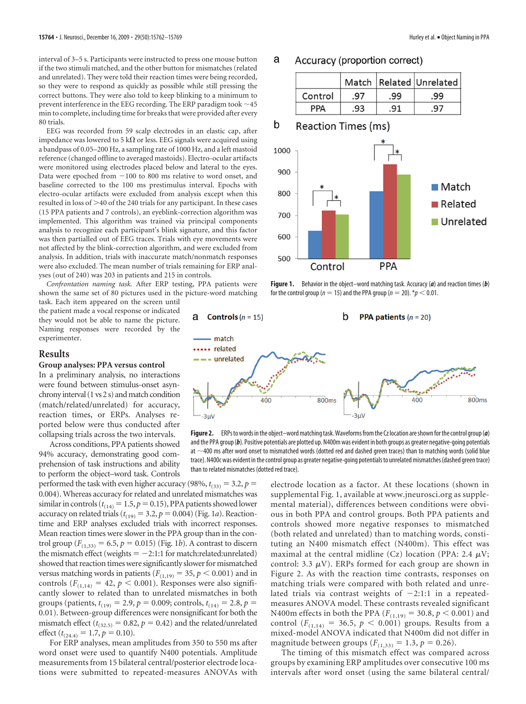interval of 3–5 s. Participants were instructed to press one mouse button if the two stimuli matched, and the other button for mismatches (related and unrelated). They were told their reaction times were being recorded, so they were to respond as quickly as possible while still pressing the correct buttons. They were also told to keep blinking to a minimum to prevent interference in the EEG recording. The ERP paradigm took  $\sim$  45 min to complete, including time for breaks that were provided after every 80 trials.

EEG was recorded from 59 scalp electrodes in an elastic cap, after impedance was lowered to 5 k $\Omega$  or less. EEG signals were acquired using a bandpass of 0.05–200 Hz, a sampling rate of 1000 Hz, and a left mastoid reference (changed offline to averaged mastoids). Electro-ocular artifacts were monitored using electrodes placed below and lateral to the eyes. Data were epoched from  $-100$  to 800 ms relative to word onset, and baseline corrected to the 100 ms prestimulus interval. Epochs with electro-ocular artifacts were excluded from analysis except when this resulted in loss of  $>$ 40 of the 240 trials for any participant. In these cases (15 PPA patients and 7 controls), an eyeblink-correction algorithm was implemented. This algorithm was trained via principal components analysis to recognize each participant's blink signature, and this factor was then partialled out of EEG traces. Trials with eye movements were not affected by the blink-correction algorithm, and were excluded from analysis. In addition, trials with inaccurate match/nonmatch responses were also excluded. The mean number of trials remaining for ERP analyses (out of 240) was 203 in patients and 215 in controls.

*Confrontation naming task.* After ERP testing, PPA patients were shown the same set of 80 pictures used in the picture-word matching

task. Each item appeared on the screen until the patient made a vocal response or indicated they would not be able to name the picture. Naming responses were recorded by the experimenter.

## **Results**

# **Group analyses: PPA versus control**

In a preliminary analysis, no interactions were found between stimulus-onset asynchrony interval  $(1 \text{ vs } 2 \text{ s})$  and match condition (match/related/unrelated) for accuracy, reaction times, or ERPs. Analyses reported below were thus conducted after collapsing trials across the two intervals.

Across conditions, PPA patients showed 94% accuracy, demonstrating good comprehension of task instructions and ability to perform the object–word task. Controls

performed the task with even higher accuracy (98%,  $t_{(33)} = 3.2$ ,  $p =$ 0.004). Whereas accuracy for related and unrelated mismatches was similar in controls ( $t_{(14)} = 1.5, p = 0.15$ ), PPA patients showed lower accuracy on related trials ( $t_{(19)} = 3.2$ ,  $p = 0.004$ ) (Fig. 1*a*). Reactiontime and ERP analyses excluded trials with incorrect responses. Mean reaction times were slower in the PPA group than in the control group ( $F_{(1,33)} = 6.5, p = 0.015$ ) (Fig. 1*b*). A contrast to discern the mismatch effect (weights  $= -2:1:1$  for match:related:unrelated) showed that reaction times were significantly slower for mismatched versus matching words in patients ( $F_{(1,19)} = 35$ ,  $p < 0.001$ ) and in controls  $(F_{(1,14)} = 42, p < 0.001)$ . Responses were also significantly slower to related than to unrelated mismatches in both groups (patients,  $t_{(19)} = 2.9$ ,  $p = 0.009$ ; controls,  $t_{(14)} = 2.8$ ,  $p =$ 0.01). Between-group differences were nonsignificant for both the mismatch effect  $(t_{(32.5)} = 0.82, p = 0.42)$  and the related/unrelated effect ( $t_{(24.4)} = 1.7, p = 0.10$ ).

For ERP analyses, mean amplitudes from 350 to 550 ms after word onset were used to quantify N400 potentials. Amplitude measurements from 15 bilateral central/posterior electrode locations were submitted to repeated-measures ANOVAs with

#### a Accuracy (proportion correct)

|            |     |     | Match   Related   Unrelated |
|------------|-----|-----|-----------------------------|
| Control    | .97 | .99 | 99                          |
| <b>PPA</b> | .93 | .91 |                             |





**Figure 1.** Behavior in the object–word matching task. Accuracy (*a*) and reaction times (*b*) for the control group ( $n = 15$ ) and the PPA group ( $n = 20$ ).  $^*p < 0.01$ .



Figure 2. ERPs to words in the object–word matching task. Waveforms from the Cz location are shown for the control group (*a*) and the PPA group (*b*). Positive potentials are plotted up. N400m was evident in both groups as greater negative-going potentials at  $\sim$ 400 ms after word onset to mismatched words (dotted red and dashed green traces) than to matching words (solid blue trace). N400c was evident inthe control group as greater negative-going potentialsto unrelatedmismatches(dashed greentrace) than to related mismatches (dotted red trace).

electrode location as a factor. At these locations (shown in supplemental Fig. 1, available at www.jneurosci.org as supplemental material), differences between conditions were obvious in both PPA and control groups. Both PPA patients and controls showed more negative responses to mismatched (both related and unrelated) than to matching words, constituting an N400 mismatch effect (N400m). This effect was maximal at the central midline (Cz) location (PPA: 2.4  $\mu$ V; control: 3.3  $\mu$ V). ERPs formed for each group are shown in Figure 2. As with the reaction time contrasts, responses on matching trials were compared with both related and unrelated trials via contrast weights of  $-2:1:1$  in a repeatedmeasures ANOVA model. These contrasts revealed significant N400m effects in both the PPA ( $F_{(1,19)} = 30.8$ ,  $p < 0.001$ ) and control ( $F_{(1,14)} = 36.5, p < 0.001$ ) groups. Results from a mixed-model ANOVA indicated that N400m did not differ in magnitude between groups ( $F_{(1,33)} = 1.3, p = 0.26$ ).

The timing of this mismatch effect was compared across groups by examining ERP amplitudes over consecutive 100 ms intervals after word onset (using the same bilateral central/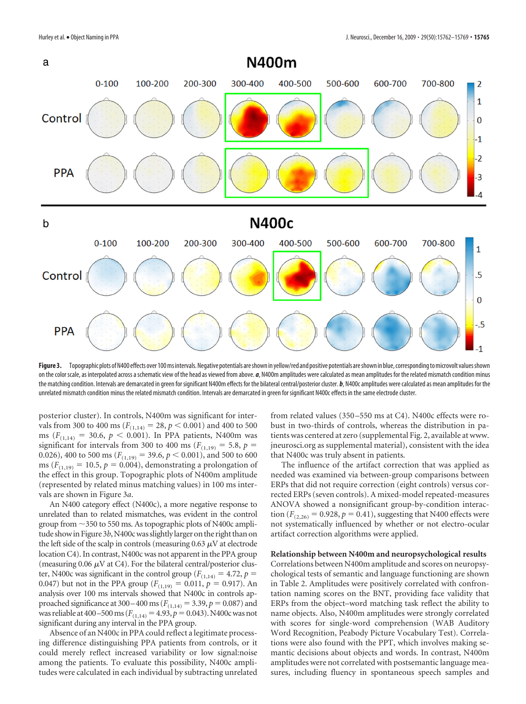

Figure 3. Topographic plots of N400 effects over 100 ms intervals. Negative potentials are shown in yellow/red and positive potentials are shown in blue, corresponding to microvolt values shown on the color scale, as interpolated across a schematic view of the head as viewed from above. *a*, N400m amplitudes were calculated as mean amplitudes for the related mismatch condition minus the matching condition. Intervals are demarcated in green for significant N400m effects for the bilateral central/posterior cluster.  $b$ , N400c amplitudes were calculated as mean amplitudes for the unrelated mismatch condition minus the related mismatch condition. Intervals are demarcated in green for significant N400c effects in the same electrode cluster.

posterior cluster). In controls, N400m was significant for intervals from 300 to 400 ms ( $F_{(1,14)} = 28$ ,  $p < 0.001$ ) and 400 to 500  $\text{ms}$  ( $F_{(1,14)} = 30.6, p \le 0.001$ ). In PPA patients, N400m was significant for intervals from 300 to 400 ms ( $F_{(1,19)} = 5.8$ ,  $p =$ 0.026), 400 to 500 ms ( $F_{(1,19)} = 39.6, p \le 0.001$ ), and 500 to 600 ms  $(F_{(1,19)} = 10.5, p = 0.004)$ , demonstrating a prolongation of the effect in this group. Topographic plots of N400m amplitude (represented by related minus matching values) in 100 ms intervals are shown in Figure 3*a*.

An N400 category effect (N400c), a more negative response to unrelated than to related mismatches, was evident in the control group from  $\sim$ 350 to 550 ms. As topographic plots of N400c amplitude showin Figure 3*b*, N400cwas slightlylarger on the right than on the left side of the scalp in controls (measuring 0.63  $\mu$ V at electrode location C4). In contrast, N400c was not apparent in the PPA group (measuring 0.06  $\mu$ V at C4). For the bilateral central/posterior cluster, N400c was significant in the control group ( $F_{(1,14)} = 4.72$ ,  $p =$ 0.047) but not in the PPA group ( $F_{(1,19)} = 0.011$ ,  $p = 0.917$ ). An analysis over 100 ms intervals showed that N400c in controls approached significance at 300–400 ms ( $F_{(1,14)} = 3.39, p = 0.087$ ) and was reliable at 400–500 ms ( $F_{(1,14)} = 4.93$ ,  $p = 0.043$ ). N400c was not significant during any interval in the PPA group.

Absence of an N400c in PPA could reflect a legitimate processing difference distinguishing PPA patients from controls, or it could merely reflect increased variability or low signal:noise among the patients. To evaluate this possibility, N400c amplitudes were calculated in each individual by subtracting unrelated

from related values (350 –550 ms at C4). N400c effects were robust in two-thirds of controls, whereas the distribution in patients was centered at zero (supplemental Fig. 2, available at www. jneurosci.org as supplemental material), consistent with the idea that N400c was truly absent in patients.

The influence of the artifact correction that was applied as needed was examined via between-group comparisons between ERPs that did not require correction (eight controls) versus corrected ERPs (seven controls). A mixed-model repeated-measures ANOVA showed a nonsignificant group-by-condition interaction ( $F_{(2,26)} = 0.928$ ,  $p = 0.41$ ), suggesting that N400 effects were not systematically influenced by whether or not electro-ocular artifact correction algorithms were applied.

**Relationship between N400m and neuropsychological results** Correlations between N400m amplitude and scores on neuropsychological tests of semantic and language functioning are shown in Table 2. Amplitudes were positively correlated with confrontation naming scores on the BNT, providing face validity that ERPs from the object–word matching task reflect the ability to name objects. Also, N400m amplitudes were strongly correlated with scores for single-word comprehension (WAB Auditory Word Recognition, Peabody Picture Vocabulary Test). Correlations were also found with the PPT, which involves making semantic decisions about objects and words. In contrast, N400m amplitudes were not correlated with postsemantic language measures, including fluency in spontaneous speech samples and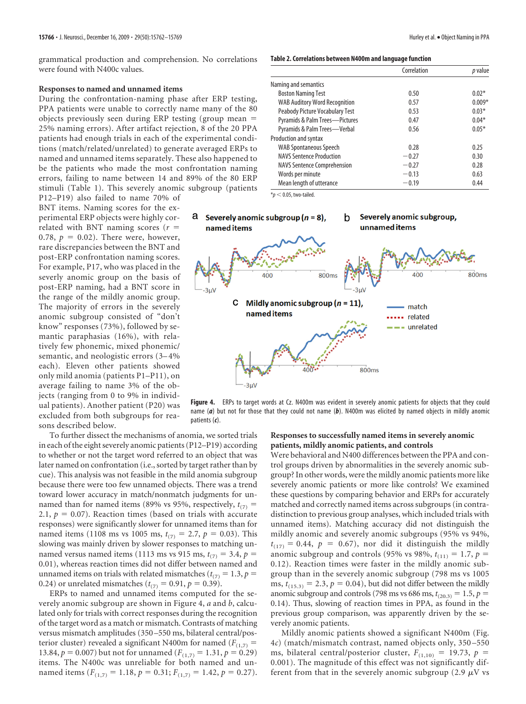grammatical production and comprehension. No correlations were found with N400c values.

### **Responses to named and unnamed items**

During the confrontation-naming phase after ERP testing, PPA patients were unable to correctly name many of the 80 objects previously seen during ERP testing (group mean = 25% naming errors). After artifact rejection, 8 of the 20 PPA patients had enough trials in each of the experimental conditions (match/related/unrelated) to generate averaged ERPs to named and unnamed items separately. These also happened to be the patients who made the most confrontation naming errors, failing to name between 14 and 89% of the 80 ERP stimuli (Table 1). This severely anomic subgroup (patients

P12–P19) also failed to name 70% of BNT items. Naming scores for the experimental ERP objects were highly correlated with BNT naming scores  $(r =$ 0.78,  $p = 0.02$ ). There were, however, rare discrepancies between the BNT and post-ERP confrontation naming scores. For example, P17, who was placed in the severly anomic group on the basis of post-ERP naming, had a BNT score in the range of the mildly anomic group. The majority of errors in the severely anomic subgroup consisted of "don't know" responses (73%), followed by semantic paraphasias (16%), with relatively few phonemic, mixed phonemic/ semantic, and neologistic errors (3–4% each). Eleven other patients showed only mild anomia (patients P1–P11), on average failing to name 3% of the objects (ranging from 0 to 9% in individual patients). Another patient (P20) was excluded from both subgroups for reasons described below.

To further dissect the mechanisms of anomia, we sorted trials in each of the eight severely anomic patients (P12–P19) according to whether or not the target word referred to an object that was later named on confrontation (i.e., sorted by target rather than by cue). This analysis was not feasible in the mild anomia subgroup because there were too few unnamed objects. There was a trend toward lower accuracy in match/nonmatch judgments for unnamed than for named items (89% vs 95%, respectively,  $t_{(7)}$  = 2.1,  $p = 0.07$ ). Reaction times (based on trials with accurate responses) were significantly slower for unnamed items than for named items (1108 ms vs 1005 ms,  $t_{(7)} = 2.7$ ,  $p = 0.03$ ). This slowing was mainly driven by slower responses to matching unnamed versus named items (1113 ms vs 915 ms,  $t_{(7)} = 3.4$ ,  $p =$ 0.01), whereas reaction times did not differ between named and unnamed items on trials with related mismatches ( $t_{(7)} = 1.3, p =$ 0.24) or unrelated mismatches  $(t_{(7)} = 0.91, p = 0.39)$ .

ERPs to named and unnamed items computed for the severely anomic subgroup are shown in Figure 4, *a* and *b*, calculated only for trials with correct responses during the recognition of the target word as a match or mismatch. Contrasts of matching versus mismatch amplitudes (350 –550 ms, bilateral central/posterior cluster) revealed a significant N400m for named ( $F_{(1,7)}$  = 13.84,  $p = 0.007$ ) but not for unnamed ( $F_{(1,7)} = 1.31$ ,  $p = 0.29$ ) items. The N400c was unreliable for both named and unnamed items ( $F_{(1,7)} = 1.18$ ,  $p = 0.31$ ;  $F_{(1,7)} = 1.42$ ,  $p = 0.27$ ).

### **Table 2. Correlations between N400m and language function**

|                                        | Correlation | <i>p</i> value |
|----------------------------------------|-------------|----------------|
| Naming and semantics                   |             |                |
| <b>Boston Naming Test</b>              | 0.50        | $0.02*$        |
| <b>WAB Auditory Word Recognition</b>   | 0.57        | $0.009*$       |
| <b>Peabody Picture Vocabulary Test</b> | 0.53        | $0.03*$        |
| Pyramids & Palm Trees-Pictures         | 0.47        | $0.04*$        |
| Pyramids & Palm Trees-Verbal           | 0.56        | $0.05*$        |
| Production and syntax                  |             |                |
| <b>WAB Spontaneous Speech</b>          | 0.28        | 0.25           |
| <b>NAVS Sentence Production</b>        | $-0.27$     | 0.30           |
| <b>NAVS Sentence Comprehension</b>     | $-0.27$     | 0.28           |
| Words per minute                       | $-0.13$     | 0.63           |
| Mean length of utterance               | $-0.19$     | 0.44           |

 $*_p$  < 0.05, two-tailed.



**Figure 4.** ERPs to target words at Cz. N400m was evident in severely anomic patients for objects that they could name (*a*) but not for those that they could not name (*b*). N400m was elicited by named objects in mildly anomic patients (*c*).

## **Responses to successfully named items in severely anomic patients, mildly anomic patients, and controls**

Were behavioral and N400 differences between the PPA and control groups driven by abnormalities in the severely anomic subgroup? In other words, were the mildly anomic patients more like severely anomic patients or more like controls? We examined these questions by comparing behavior and ERPs for accurately matched and correctly named items across subgroups (in contradistinction to previous group analyses, which included trials with unnamed items). Matching accuracy did not distinguish the mildly anomic and severely anomic subgroups (95% vs 94%,  $t_{(17)} = 0.44$ ,  $p = 0.67$ ), nor did it distinguish the mildly anomic subgroup and controls (95% vs 98%,  $t_{(11)} = 1.7$ ,  $p =$ 0.12). Reaction times were faster in the mildly anomic subgroup than in the severely anomic subgroup (798 ms vs 1005 ms,  $t_{(15.3)} = 2.3$ ,  $p = 0.04$ ), but did not differ between the mildly anomic subgroup and controls (798 ms vs 686 ms,  $t_{(20.3)} = 1.5$ ,  $p =$ 0.14). Thus, slowing of reaction times in PPA, as found in the previous group comparison, was apparently driven by the severely anomic patients.

Mildly anomic patients showed a significant N400m (Fig. 4*c*) (match/mismatch contrast, named objects only, 350 –550 ms, bilateral central/posterior cluster,  $F_{(1,10)} = 19.73$ ,  $p =$ 0.001). The magnitude of this effect was not significantly different from that in the severely anomic subgroup (2.9  $\mu$ V vs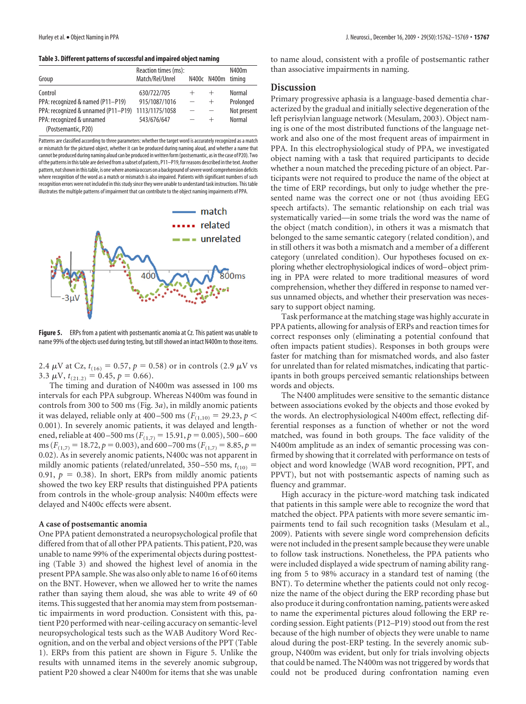**Table 3. Different patterns of successful and impaired object naming**

| Group                                              | Reaction times (ms):<br>Match/Rel/Unrel | N400c N400m timing | N400m       |
|----------------------------------------------------|-----------------------------------------|--------------------|-------------|
| Control                                            | 630/722/705                             | $^{+}$             | Normal      |
| PPA: recognized & named (P11-P19)                  | 915/1087/1016                           | $^{+}$             | Prolonged   |
| PPA: recognized & unnamed (P11-P19) 1113/1175/1058 |                                         |                    | Not present |
| PPA: recognized & unnamed                          | 543/676/647                             | $^{+}$             | Normal      |
| (Postsemantic, P20)                                |                                         |                    |             |

Patterns are classified according to three parameters: whether the target word is accurately recognized as a match or mismatch for the pictured object, whether it can be produced during naming aloud, and whether a name that cannot be produced during naming aloud can be produced in writtenform(postsemantic, as inthe case of P20). Two of the patterns in this table are derived from a subset of patients, P11–P19, for reasons described in the text. Another pattern, not shown in this table, is one where anomia occurs on a background of severe word comprehension deficits where recognition of the word as a match or mismatch is also impaired. Patients with significant numbers of such recognition errors were not included in this study since they were unable to understand task instructions. This table illustrates the multiple patterns of impairment that can contribute to the object naming impairments of PPA.



**Figure 5.** ERPs from a patient with postsemantic anomia at Cz. This patient was unable to name 99% of the objects used during testing, but still showed an intact N400m to those items.

2.4  $\mu$ V at Cz,  $t_{(16)} = 0.57$ ,  $p = 0.58$ ) or in controls (2.9  $\mu$ V vs 3.3  $\mu$ V,  $t_{(21.2)} = 0.45$ ,  $p = 0.66$ ).

The timing and duration of N400m was assessed in 100 ms intervals for each PPA subgroup. Whereas N400m was found in controls from 300 to 500 ms (Fig. 3*a*), in mildly anomic patients it was delayed, reliable only at 400–500 ms ( $F_{(1,10)} = 29.23$ ,  $p <$ 0.001). In severely anomic patients, it was delayed and lengthened, reliable at  $400 - 500 \text{ ms}$  ( $F_{(1,7)} = 15.91, p = 0.005$ ), 500–600  $\text{ms } (F_{(1,7)} = 18.72, p = 0.003), \text{ and } 600-700 \text{ ms } (F_{(1,7)} = 8.85, p = 0.003)$ 0.02). As in severely anomic patients, N400c was not apparent in mildly anomic patients (related/unrelated, 350–550 ms,  $t_{(10)}$  = 0.91,  $p = 0.38$ ). In short, ERPs from mildly anomic patients showed the two key ERP results that distinguished PPA patients from controls in the whole-group analysis: N400m effects were delayed and N400c effects were absent.

### **A case of postsemantic anomia**

One PPA patient demonstrated a neuropsychological profile that differed from that of all other PPA patients. This patient, P20, was unable to name 99% of the experimental objects during posttesting (Table 3) and showed the highest level of anomia in the present PPA sample. She was also only able to name 16 of 60 items on the BNT. However, when we allowed her to write the names rather than saying them aloud, she was able to write 49 of 60 items. This suggested that her anomia may stem from postsemantic impairments in word production. Consistent with this, patient P20 performed with near-ceiling accuracy on semantic-level neuropsychological tests such as the WAB Auditory Word Recognition, and on the verbal and object versions of the PPT (Table 1). ERPs from this patient are shown in Figure 5. Unlike the results with unnamed items in the severely anomic subgroup, patient P20 showed a clear N400m for items that she was unable to name aloud, consistent with a profile of postsemantic rather than associative impairments in naming.

# **Discussion**

Primary progressive aphasia is a language-based dementia characterized by the gradual and initially selective degeneration of the left perisylvian language network (Mesulam, 2003). Object naming is one of the most distributed functions of the language network and also one of the most frequent areas of impairment in PPA. In this electrophysiological study of PPA, we investigated object naming with a task that required participants to decide whether a noun matched the preceding picture of an object. Participants were not required to produce the name of the object at the time of ERP recordings, but only to judge whether the presented name was the correct one or not (thus avoiding EEG speech artifacts). The semantic relationship on each trial was systematically varied—in some trials the word was the name of the object (match condition), in others it was a mismatch that belonged to the same semantic category (related condition), and in still others it was both a mismatch and a member of a different category (unrelated condition). Our hypotheses focused on exploring whether electrophysiological indices of word–object priming in PPA were related to more traditional measures of word comprehension, whether they differed in response to named versus unnamed objects, and whether their preservation was necessary to support object naming.

Task performance at the matching stage was highly accurate in PPA patients, allowing for analysis of ERPs and reaction times for correct responses only (eliminating a potential confound that often impacts patient studies). Responses in both groups were faster for matching than for mismatched words, and also faster for unrelated than for related mismatches, indicating that participants in both groups perceived semantic relationships between words and objects.

The N400 amplitudes were sensitive to the semantic distance between associations evoked by the objects and those evoked by the words. An electrophysiological N400m effect, reflecting differential responses as a function of whether or not the word matched, was found in both groups. The face validity of the N400m amplitude as an index of semantic processing was confirmed by showing that it correlated with performance on tests of object and word knowledge (WAB word recognition, PPT, and PPVT), but not with postsemantic aspects of naming such as fluency and grammar.

High accuracy in the picture-word matching task indicated that patients in this sample were able to recognize the word that matched the object. PPA patients with more severe semantic impairments tend to fail such recognition tasks (Mesulam et al., 2009). Patients with severe single word comprehension deficits were not included in the present sample because they were unable to follow task instructions. Nonetheless, the PPA patients who were included displayed a wide spectrum of naming ability ranging from 5 to 98% accuracy in a standard test of naming (the BNT). To determine whether the patients could not only recognize the name of the object during the ERP recording phase but also produce it during confrontation naming, patients were asked to name the experimental pictures aloud following the ERP recording session. Eight patients (P12–P19) stood out from the rest because of the high number of objects they were unable to name aloud during the post-ERP testing. In the severely anomic subgroup, N400m was evident, but only for trials involving objects that could be named. The N400m was not triggered by words that could not be produced during confrontation naming even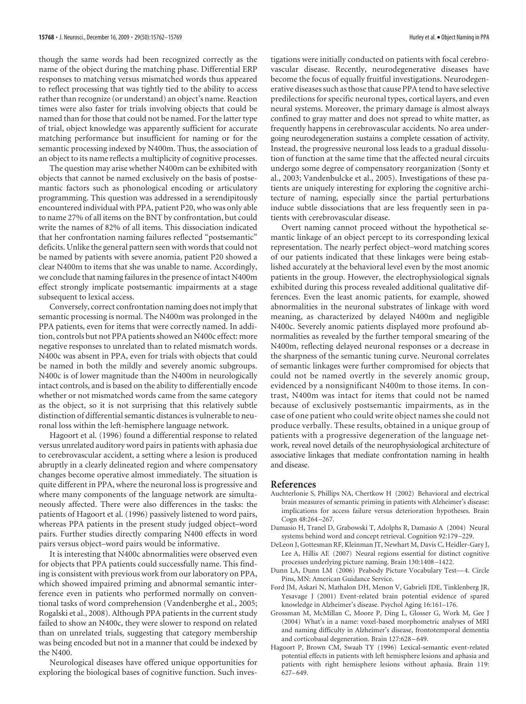though the same words had been recognized correctly as the name of the object during the matching phase. Differential ERP responses to matching versus mismatched words thus appeared to reflect processing that was tightly tied to the ability to access rather than recognize (or understand) an object's name. Reaction times were also faster for trials involving objects that could be named than for those that could not be named. For the latter type of trial, object knowledge was apparently sufficient for accurate matching performance but insufficient for naming or for the semantic processing indexed by N400m. Thus, the association of an object to its name reflects a multiplicity of cognitive processes.

The question may arise whether N400m can be exhibited with objects that cannot be named exclusively on the basis of postsemantic factors such as phonological encoding or articulatory programming. This question was addressed in a serendipitously encountered individual with PPA, patient P20, who was only able to name 27% of all items on the BNT by confrontation, but could write the names of 82% of all items. This dissociation indicated that her confrontation naming failures reflected "postsemantic" deficits. Unlike the general pattern seen with words that could not be named by patients with severe anomia, patient P20 showed a clear N400m to items that she was unable to name. Accordingly, we conclude that naming failures in the presence of intact N400m effect strongly implicate postsemantic impairments at a stage subsequent to lexical access.

Conversely, correct confrontation naming does not imply that semantic processing is normal. The N400m was prolonged in the PPA patients, even for items that were correctly named. In addition, controls but not PPA patients showed an N400c effect: more negative responses to unrelated than to related mismatch words. N400c was absent in PPA, even for trials with objects that could be named in both the mildly and severely anomic subgroups. N400c is of lower magnitude than the N400m in neurologically intact controls, and is based on the ability to differentially encode whether or not mismatched words came from the same category as the object, so it is not surprising that this relatively subtle distinction of differential semantic distances is vulnerable to neuronal loss within the left-hemisphere language network.

Hagoort et al. (1996) found a differential response to related versus unrelated auditory word pairs in patients with aphasia due to cerebrovascular accident, a setting where a lesion is produced abruptly in a clearly delineated region and where compensatory changes become operative almost immediately. The situation is quite different in PPA, where the neuronal loss is progressive and where many components of the language network are simultaneously affected. There were also differences in the tasks: the patients of Hagoort et al. (1996) passively listened to word pairs, whereas PPA patients in the present study judged object–word pairs. Further studies directly comparing N400 effects in word pairs versus object–word pairs would be informative.

It is interesting that N400c abnormalities were observed even for objects that PPA patients could successfully name. This finding is consistent with previous work from our laboratory on PPA, which showed impaired priming and abnormal semantic interference even in patients who performed normally on conventional tasks of word comprehension (Vandenberghe et al., 2005; Rogalski et al., 2008). Although PPA patients in the current study failed to show an N400c, they were slower to respond on related than on unrelated trials, suggesting that category membership was being encoded but not in a manner that could be indexed by the N400.

Neurological diseases have offered unique opportunities for exploring the biological bases of cognitive function. Such investigations were initially conducted on patients with focal cerebrovascular disease. Recently, neurodegenerative diseases have become the focus of equally fruitful investigations. Neurodegenerative diseases such as those that cause PPA tend to have selective predilections for specific neuronal types, cortical layers, and even neural systems. Moreover, the primary damage is almost always confined to gray matter and does not spread to white matter, as frequently happens in cerebrovascular accidents. No area undergoing neurodegeneration sustains a complete cessation of activity. Instead, the progressive neuronal loss leads to a gradual dissolution of function at the same time that the affected neural circuits undergo some degree of compensatory reorganization (Sonty et al., 2003; Vandenbulcke et al., 2005). Investigations of these patients are uniquely interesting for exploring the cognitive architecture of naming, especially since the partial perturbations induce subtle dissociations that are less frequently seen in patients with cerebrovascular disease.

Overt naming cannot proceed without the hypothetical semantic linkage of an object percept to its corresponding lexical representation. The nearly perfect object–word matching scores of our patients indicated that these linkages were being established accurately at the behavioral level even by the most anomic patients in the group. However, the electrophysiological signals exhibited during this process revealed additional qualitative differences. Even the least anomic patients, for example, showed abnormalities in the neuronal substrates of linkage with word meaning, as characterized by delayed N400m and negligible N400c. Severely anomic patients displayed more profound abnormalities as revealed by the further temporal smearing of the N400m, reflecting delayed neuronal responses or a decrease in the sharpness of the semantic tuning curve. Neuronal correlates of semantic linkages were further compromised for objects that could not be named overtly in the severely anomic group, evidenced by a nonsignificant N400m to those items. In contrast, N400m was intact for items that could not be named because of exclusively postsemantic impairments, as in the case of one patient who could write object names she could not produce verbally. These results, obtained in a unique group of patients with a progressive degeneration of the language network, reveal novel details of the neurophysiological architecture of associative linkages that mediate confrontation naming in health and disease.

### **References**

- Auchterlonie S, Phillips NA, Chertkow H (2002) Behavioral and electrical brain measures of semantic priming in patients with Alzheimer's disease: implications for access failure versus deterioration hypotheses. Brain Cogn 48:264 –267.
- Damasio H, Tranel D, Grabowski T, Adolphs R, Damasio A (2004) Neural systems behind word and concept retrieval. Cognition 92:179 –229.
- DeLeon J, Gottesman RF, Kleinman JT, Newhart M, Davis C, Heidler-Gary J, Lee A, Hillis AE (2007) Neural regions essential for distinct cognitive processes underlying picture naming. Brain 130:1408 –1422.
- Dunn LA, Dunn LM (2006) Peabody Picture Vocabulary Test—4. Circle Pins, MN: American Guidance Service.
- Ford JM, Askari N, Mathalon DH, Menon V, Gabrieli JDE, Tinklenberg JR, Yesavage J (2001) Event-related brain potential evidence of spared knowledge in Alzheimer's disease. Psychol Aging 16:161–176.
- Grossman M, McMillan C, Moore P, Ding L, Glosser G, Work M, Gee J (2004) What's in a name: voxel-based morphometric analyses of MRI and naming difficulty in Alzheimer's disease, frontotemporal dementia and corticobasal degeneration. Brain 127:628 –649.
- Hagoort P, Brown CM, Swaab TY (1996) Lexical-semantic event-related potential effects in patients with left hemisphere lesions and aphasia and patients with right hemisphere lesions without aphasia. Brain 119: 627–649.